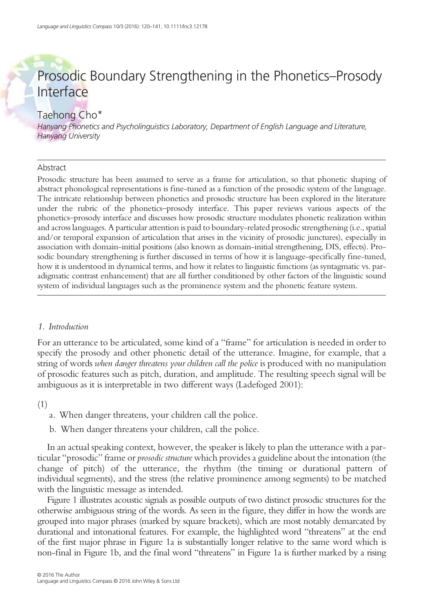# Prosodic Boundary Strengthening in the Phonetics–Prosody Interface

# Taehong Cho\*

Hanyang Phonetics and Psycholinguistics Laboratory, Department of English Language and Literature, Hanyang University

## Abstract

Prosodic structure has been assumed to serve as a frame for articulation, so that phonetic shaping of abstract phonological representations is fine-tuned as a function of the prosodic system of the language. The intricate relationship between phonetics and prosodic structure has been explored in the literature under the rubric of the phonetics–prosody interface. This paper reviews various aspects of the phonetics–prosody interface and discusses how prosodic structure modulates phonetic realization within and across languages. A particular attention is paid to boundary-related prosodic strengthening (i.e., spatial and/or temporal expansion of articulation that arises in the vicinity of prosodic junctures), especially in association with domain-initial positions (also known as domain-initial strengthening, DIS, effects). Prosodic boundary strengthening is further discussed in terms of how it is language-specifically fine-tuned, how it is understood in dynamical terms, and how it relates to linguistic functions (as syntagmatic vs. paradigmatic contrast enhancement) that are all further conditioned by other factors of the linguistic sound system of individual languages such as the prominence system and the phonetic feature system.

## 1. Introduction

For an utterance to be articulated, some kind of a "frame" for articulation is needed in order to specify the prosody and other phonetic detail of the utterance. Imagine, for example, that a string of words when danger threatens your children call the police is produced with no manipulation of prosodic features such as pitch, duration, and amplitude. The resulting speech signal will be ambiguous as it is interpretable in two different ways (Ladefoged 2001):

(1)

- a. When danger threatens, your children call the police.
- b. When danger threatens your children, call the police.

In an actual speaking context, however, the speaker is likely to plan the utterance with a particular "prosodic" frame or *prosodic structure* which provides a guideline about the intonation (the change of pitch) of the utterance, the rhythm (the timing or durational pattern of individual segments), and the stress (the relative prominence among segments) to be matched with the linguistic message as intended.

Figure 1 illustrates acoustic signals as possible outputs of two distinct prosodic structures for the otherwise ambiguous string of the words. As seen in the figure, they differ in how the words are grouped into major phrases (marked by square brackets), which are most notably demarcated by durational and intonational features. For example, the highlighted word "threatens" at the end of the first major phrase in Figure 1a is substantially longer relative to the same word which is non-final in Figure 1b, and the final word "threatens" in Figure 1a is further marked by a rising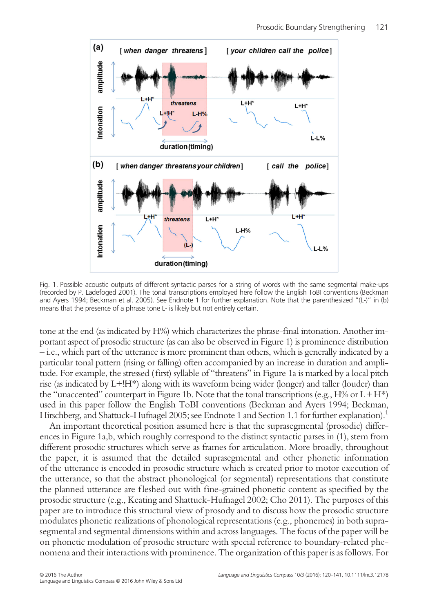

Fig. 1. Possible acoustic outputs of different syntactic parses for a string of words with the same segmental make-ups (recorded by P. Ladefoged 2001). The tonal transcriptions employed here follow the English ToBI conventions (Beckman and Ayers 1994; Beckman et al. 2005). See Endnote 1 for further explanation. Note that the parenthesized "(L-)" in (b) means that the presence of a phrase tone L- is likely but not entirely certain.

tone at the end (as indicated by H%) which characterizes the phrase-final intonation. Another important aspect of prosodic structure (as can also be observed in Figure 1) is prominence distribution – i.e., which part of the utterance is more prominent than others, which is generally indicated by a particular tonal pattern (rising or falling) often accompanied by an increase in duration and amplitude. For example, the stressed (first) syllable of "threatens" in Figure 1a is marked by a local pitch rise (as indicated by L+!H\*) along with its waveform being wider (longer) and taller (louder) than the "unaccented" counterpart in Figure 1b. Note that the tonal transcriptions (e.g.,  $H\%$  or  $L + H^*$ ) used in this paper follow the English ToBI conventions (Beckman and Ayers 1994; Beckman, Hirschberg, and Shattuck-Hufnagel 2005; see Endnote 1 and Section 1.1 for further explanation).<sup>1</sup>

An important theoretical position assumed here is that the suprasegmental (prosodic) differences in Figure 1a,b, which roughly correspond to the distinct syntactic parses in (1), stem from different prosodic structures which serve as frames for articulation. More broadly, throughout the paper, it is assumed that the detailed suprasegmental and other phonetic information of the utterance is encoded in prosodic structure which is created prior to motor execution of the utterance, so that the abstract phonological (or segmental) representations that constitute the planned utterance are f leshed out with fine-grained phonetic content as specified by the prosodic structure (e.g., Keating and Shattuck-Hufnagel 2002; Cho 2011). The purposes of this paper are to introduce this structural view of prosody and to discuss how the prosodic structure modulates phonetic realizations of phonological representations (e.g., phonemes) in both suprasegmental and segmental dimensions within and across languages. The focus of the paper will be on phonetic modulation of prosodic structure with special reference to boundary-related phenomena and their interactions with prominence. The organization of this paper is as follows. For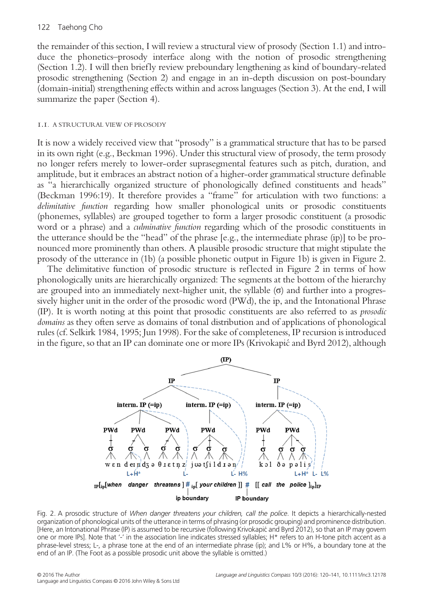## 122 Taehong Cho

the remainder of this section, I will review a structural view of prosody (Section 1.1) and introduce the phonetics–prosody interface along with the notion of prosodic strengthening (Section 1.2). I will then briefly review preboundary lengthening as kind of boundary-related prosodic strengthening (Section 2) and engage in an in-depth discussion on post-boundary (domain-initial) strengthening effects within and across languages (Section 3). At the end, I will summarize the paper (Section 4).

## 1.1. A STRUCTURAL VIEW OF PROSODY

It is now a widely received view that "prosody" is a grammatical structure that has to be parsed in its own right (e.g., Beckman 1996). Under this structural view of prosody, the term prosody no longer refers merely to lower-order suprasegmental features such as pitch, duration, and amplitude, but it embraces an abstract notion of a higher-order grammatical structure definable as "a hierarchically organized structure of phonologically defined constituents and heads" (Beckman 1996:19). It therefore provides a "frame" for articulation with two functions: a delimitative function regarding how smaller phonological units or prosodic constituents (phonemes, syllables) are grouped together to form a larger prosodic constituent (a prosodic word or a phrase) and a culminative function regarding which of the prosodic constituents in the utterance should be the "head" of the phrase [e.g., the intermediate phrase (ip)] to be pronounced more prominently than others. A plausible prosodic structure that might stipulate the prosody of the utterance in (1b) (a possible phonetic output in Figure 1b) is given in Figure 2.

The delimitative function of prosodic structure is reflected in Figure 2 in terms of how phonologically units are hierarchically organized: The segments at the bottom of the hierarchy are grouped into an immediately next-higher unit, the syllable (σ) and further into a progressively higher unit in the order of the prosodic word (PWd), the ip, and the Intonational Phrase (IP). It is worth noting at this point that prosodic constituents are also referred to as prosodic domains as they often serve as domains of tonal distribution and of applications of phonological rules (cf. Selkirk 1984, 1995; Jun 1998). For the sake of completeness, IP recursion is introduced in the figure, so that an IP can dominate one or more IPs (Krivokapić and Byrd 2012), although



Fig. 2. A prosodic structure of When danger threatens your children, call the police. It depicts a hierarchically-nested organization of phonological units of the utterance in terms of phrasing (or prosodic grouping) and prominence distribution. [Here, an Intonational Phrase (IP) is assumed to be recursive (following Krivokapić and Byrd 2012), so that an IP may govern one or more IPs]. Note that '-' in the association line indicates stressed syllables; H\* refers to an H-tone pitch accent as a phrase-level stress; L-, a phrase tone at the end of an intermediate phrase (ip); and L% or H%, a boundary tone at the end of an IP. (The Foot as a possible prosodic unit above the syllable is omitted.)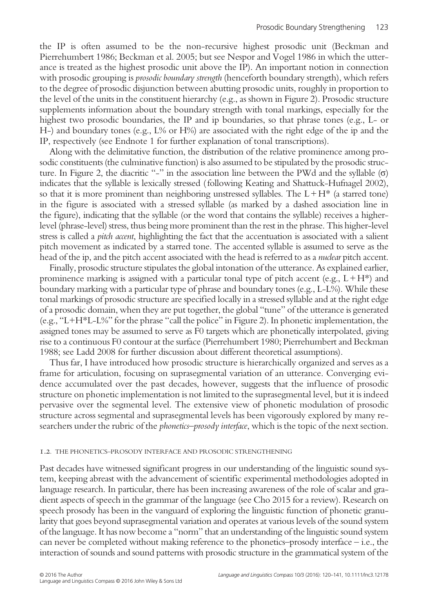the IP is often assumed to be the non-recursive highest prosodic unit (Beckman and Pierrehumbert 1986; Beckman et al. 2005; but see Nespor and Vogel 1986 in which the utterance is treated as the highest prosodic unit above the IP). An important notion in connection with prosodic grouping is *prosodic boundary strength* (henceforth boundary strength), which refers to the degree of prosodic disjunction between abutting prosodic units, roughly in proportion to the level of the units in the constituent hierarchy (e.g., as shown in Figure 2). Prosodic structure supplements information about the boundary strength with tonal markings, especially for the highest two prosodic boundaries, the IP and ip boundaries, so that phrase tones (e.g., L- or H-) and boundary tones (e.g.,  $L\%$  or H%) are associated with the right edge of the ip and the IP, respectively (see Endnote 1 for further explanation of tonal transcriptions).

Along with the delimitative function, the distribution of the relative prominence among prosodic constituents (the culminative function) is also assumed to be stipulated by the prosodic structure. In Figure 2, the diacritic "-" in the association line between the PWd and the syllable (σ) indicates that the syllable is lexically stressed (following Keating and Shattuck-Hufnagel 2002), so that it is more prominent than neighboring unstressed syllables. The  $L + H^*$  (a starred tone) in the figure is associated with a stressed syllable (as marked by a dashed association line in the figure), indicating that the syllable (or the word that contains the syllable) receives a higherlevel (phrase-level) stress, thus being more prominent than the rest in the phrase. This higher-level stress is called a *pitch accent*, highlighting the fact that the accentuation is associated with a salient pitch movement as indicated by a starred tone. The accented syllable is assumed to serve as the head of the ip, and the pitch accent associated with the head is referred to as a nuclear pitch accent.

Finally, prosodic structure stipulates the global intonation of the utterance. As explained earlier, prominence marking is assigned with a particular tonal type of pitch accent (e.g.,  $L+H^*$ ) and boundary marking with a particular type of phrase and boundary tones (e.g., L-L%). While these tonal markings of prosodic structure are specified locally in a stressed syllable and at the right edge of a prosodic domain, when they are put together, the global "tune" of the utterance is generated (e.g., "L+H\*L-L%" for the phrase "call the police" in Figure 2). In phonetic implementation, the assigned tones may be assumed to serve as F0 targets which are phonetically interpolated, giving rise to a continuous F0 contour at the surface (Pierrehumbert 1980; Pierrehumbert and Beckman 1988; see Ladd 2008 for further discussion about different theoretical assumptions).

Thus far, I have introduced how prosodic structure is hierarchically organized and serves as a frame for articulation, focusing on suprasegmental variation of an utterance. Converging evidence accumulated over the past decades, however, suggests that the influence of prosodic structure on phonetic implementation is not limited to the suprasegmental level, but it is indeed pervasive over the segmental level. The extensive view of phonetic modulation of prosodic structure across segmental and suprasegmental levels has been vigorously explored by many researchers under the rubric of the *phonetics–prosody interface*, which is the topic of the next section.

#### 1.2. THE PHONETICS–PROSODY INTERFACE AND PROSODIC STRENGTHENING

Past decades have witnessed significant progress in our understanding of the linguistic sound system, keeping abreast with the advancement of scientific experimental methodologies adopted in language research. In particular, there has been increasing awareness of the role of scalar and gradient aspects of speech in the grammar of the language (see Cho 2015 for a review). Research on speech prosody has been in the vanguard of exploring the linguistic function of phonetic granularity that goes beyond suprasegmental variation and operates at various levels of the sound system of the language. It has now become a "norm" that an understanding of the linguistic sound system can never be completed without making reference to the phonetics–prosody interface  $-$  i.e., the interaction of sounds and sound patterns with prosodic structure in the grammatical system of the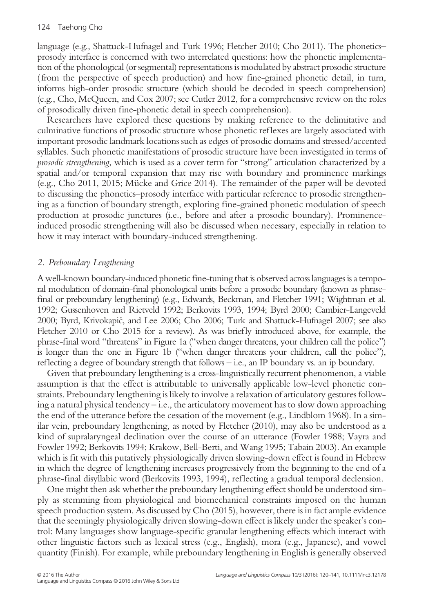language (e.g., Shattuck-Hufnagel and Turk 1996; Fletcher 2010; Cho 2011). The phonetics– prosody interface is concerned with two interrelated questions: how the phonetic implementation of the phonological (or segmental) representations is modulated by abstract prosodic structure (from the perspective of speech production) and how fine-grained phonetic detail, in turn, informs high-order prosodic structure (which should be decoded in speech comprehension) (e.g., Cho, McQueen, and Cox 2007; see Cutler 2012, for a comprehensive review on the roles of prosodically driven fine-phonetic detail in speech comprehension).

Researchers have explored these questions by making reference to the delimitative and culminative functions of prosodic structure whose phonetic ref lexes are largely associated with important prosodic landmark locations such as edges of prosodic domains and stressed/accented syllables. Such phonetic manifestations of prosodic structure have been investigated in terms of prosodic strengthening, which is used as a cover term for "strong" articulation characterized by a spatial and/or temporal expansion that may rise with boundary and prominence markings (e.g., Cho 2011, 2015; Mücke and Grice 2014). The remainder of the paper will be devoted to discussing the phonetics–prosody interface with particular reference to prosodic strengthening as a function of boundary strength, exploring fine-grained phonetic modulation of speech production at prosodic junctures (i.e., before and after a prosodic boundary). Prominenceinduced prosodic strengthening will also be discussed when necessary, especially in relation to how it may interact with boundary-induced strengthening.

# 2. Preboundary Lengthening

A well-known boundary-induced phonetic fine-tuning that is observed across languages is a temporal modulation of domain-final phonological units before a prosodic boundary (known as phrasefinal or preboundary lengthening) (e.g., Edwards, Beckman, and Fletcher 1991; Wightman et al. 1992; Gussenhoven and Rietveld 1992; Berkovits 1993, 1994; Byrd 2000; Cambier-Langeveld 2000; Byrd, Krivokapić, and Lee 2006; Cho 2006; Turk and Shattuck-Hufnagel 2007; see also Fletcher 2010 or Cho 2015 for a review). As was briefly introduced above, for example, the phrase-final word "threatens" in Figure 1a ("when danger threatens, your children call the police") is longer than the one in Figure 1b ("when danger threatens your children, call the police"), reflecting a degree of boundary strength that follows – i.e., an IP boundary vs. an ip boundary.

Given that preboundary lengthening is a cross-linguistically recurrent phenomenon, a viable assumption is that the effect is attributable to universally applicable low-level phonetic constraints. Preboundary lengthening is likely to involve a relaxation of articulatory gestures following a natural physical tendency – i.e., the articulatory movement has to slow down approaching the end of the utterance before the cessation of the movement (e.g., Lindblom 1968). In a similar vein, preboundary lengthening, as noted by Fletcher (2010), may also be understood as a kind of supralaryngeal declination over the course of an utterance (Fowler 1988; Vayra and Fowler 1992; Berkovits 1994; Krakow, Bell-Berti, and Wang 1995; Tabain 2003). An example which is fit with this putatively physiologically driven slowing-down effect is found in Hebrew in which the degree of lengthening increases progressively from the beginning to the end of a phrase-final disyllabic word (Berkovits 1993, 1994), ref lecting a gradual temporal declension.

One might then ask whether the preboundary lengthening effect should be understood simply as stemming from physiological and biomechanical constraints imposed on the human speech production system. As discussed by Cho (2015), however, there is in fact ample evidence that the seemingly physiologically driven slowing-down effect is likely under the speaker's control: Many languages show language-specific granular lengthening effects which interact with other linguistic factors such as lexical stress (e.g., English), mora (e.g., Japanese), and vowel quantity (Finish). For example, while preboundary lengthening in English is generally observed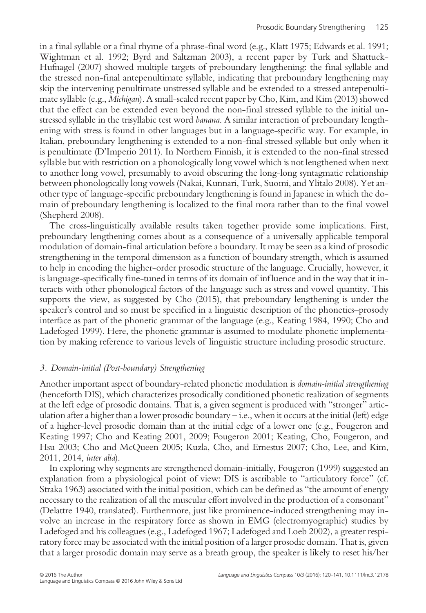in a final syllable or a final rhyme of a phrase-final word (e.g., Klatt 1975; Edwards et al. 1991; Wightman et al. 1992; Byrd and Saltzman 2003), a recent paper by Turk and Shattuck-Hufnagel (2007) showed multiple targets of preboundary lengthening: the final syllable and the stressed non-final antepenultimate syllable, indicating that preboundary lengthening may skip the intervening penultimate unstressed syllable and be extended to a stressed antepenultimate syllable (e.g., Michigan). A small-scaled recent paper by Cho, Kim, and Kim (2013) showed that the effect can be extended even beyond the non-final stressed syllable to the initial unstressed syllable in the trisyllabic test word *banana*. A similar interaction of preboundary lengthening with stress is found in other languages but in a language-specific way. For example, in Italian, preboundary lengthening is extended to a non-final stressed syllable but only when it is penultimate (D'Imperio 2011). In Northern Finnish, it is extended to the non-final stressed syllable but with restriction on a phonologically long vowel which is not lengthened when next to another long vowel, presumably to avoid obscuring the long-long syntagmatic relationship between phonologically long vowels (Nakai, Kunnari, Turk, Suomi, and Ylitalo 2008). Yet another type of language-specific preboundary lengthening is found in Japanese in which the domain of preboundary lengthening is localized to the final mora rather than to the final vowel (Shepherd 2008).

The cross-linguistically available results taken together provide some implications. First, preboundary lengthening comes about as a consequence of a universally applicable temporal modulation of domain-final articulation before a boundary. It may be seen as a kind of prosodic strengthening in the temporal dimension as a function of boundary strength, which is assumed to help in encoding the higher-order prosodic structure of the language. Crucially, however, it is language-specifically fine-tuned in terms of its domain of inf luence and in the way that it interacts with other phonological factors of the language such as stress and vowel quantity. This supports the view, as suggested by Cho (2015), that preboundary lengthening is under the speaker's control and so must be specified in a linguistic description of the phonetics–prosody interface as part of the phonetic grammar of the language (e.g., Keating 1984, 1990; Cho and Ladefoged 1999). Here, the phonetic grammar is assumed to modulate phonetic implementation by making reference to various levels of linguistic structure including prosodic structure.

## 3. Domain-initial (Post-boundary) Strengthening

Another important aspect of boundary-related phonetic modulation is domain-initial strengthening (henceforth DIS), which characterizes prosodically conditioned phonetic realization of segments at the left edge of prosodic domains. That is, a given segment is produced with "stronger" articulation after a higher than a lower prosodic boundary – i.e., when it occurs at the initial (left) edge of a higher-level prosodic domain than at the initial edge of a lower one (e.g., Fougeron and Keating 1997; Cho and Keating 2001, 2009; Fougeron 2001; Keating, Cho, Fougeron, and Hsu 2003; Cho and McQueen 2005; Kuzla, Cho, and Ernestus 2007; Cho, Lee, and Kim, 2011, 2014, inter alia).

In exploring why segments are strengthened domain-initially, Fougeron (1999) suggested an explanation from a physiological point of view: DIS is ascribable to "articulatory force" (cf. Straka 1963) associated with the initial position, which can be defined as "the amount of energy necessary to the realization of all the muscular effort involved in the production of a consonant" (Delattre 1940, translated). Furthermore, just like prominence-induced strengthening may involve an increase in the respiratory force as shown in EMG (electromyographic) studies by Ladefoged and his colleagues (e.g., Ladefoged 1967; Ladefoged and Loeb 2002), a greater respiratory force may be associated with the initial position of a larger prosodic domain. That is, given that a larger prosodic domain may serve as a breath group, the speaker is likely to reset his/her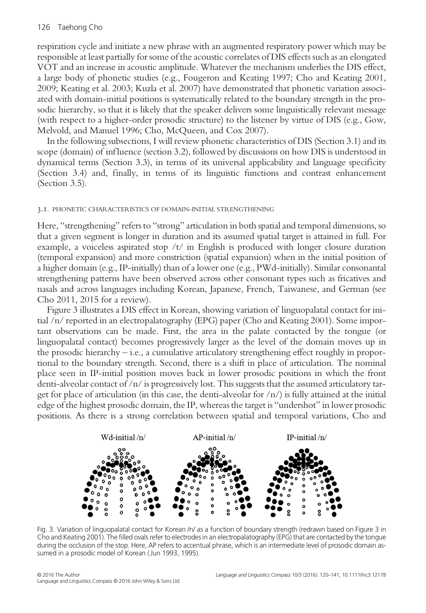## 126 Taehong Cho

respiration cycle and initiate a new phrase with an augmented respiratory power which may be responsible at least partially for some of the acoustic correlates of DIS effects such as an elongated VOT and an increase in acoustic amplitude. Whatever the mechanism underlies the DIS effect, a large body of phonetic studies (e.g., Fougeron and Keating 1997; Cho and Keating 2001, 2009; Keating et al. 2003; Kuzla et al. 2007) have demonstrated that phonetic variation associated with domain-initial positions is systematically related to the boundary strength in the prosodic hierarchy, so that it is likely that the speaker delivers some linguistically relevant message (with respect to a higher-order prosodic structure) to the listener by virtue of DIS (e.g., Gow, Melvold, and Manuel 1996; Cho, McQueen, and Cox 2007).

In the following subsections, I will review phonetic characteristics of DIS (Section 3.1) and its scope (domain) of influence (section 3.2), followed by discussions on how DIS is understood in dynamical terms (Section 3.3), in terms of its universal applicability and language specificity (Section 3.4) and, finally, in terms of its linguistic functions and contrast enhancement (Section 3.5).

#### 3.1. PHONETIC CHARACTERISTICS OF DOMAIN-INITIAL STRENGTHENING

Here, "strengthening" refers to "strong" articulation in both spatial and temporal dimensions, so that a given segment is longer in duration and its assumed spatial target is attained in full. For example, a voiceless aspirated stop  $/t/$  in English is produced with longer closure duration (temporal expansion) and more constriction (spatial expansion) when in the initial position of a higher domain (e.g., IP-initially) than of a lower one (e.g., PWd-initially). Similar consonantal strengthening patterns have been observed across other consonant types such as fricatives and nasals and across languages including Korean, Japanese, French, Taiwanese, and German (see Cho 2011, 2015 for a review).

Figure 3 illustrates a DIS effect in Korean, showing variation of linguopalatal contact for initial /n/ reported in an electropalatography (EPG) paper (Cho and Keating 2001). Some important observations can be made. First, the area in the palate contacted by the tongue (or linguopalatal contact) becomes progressively larger as the level of the domain moves up in the prosodic hierarchy – i.e., a cumulative articulatory strengthening effect roughly in proportional to the boundary strength. Second, there is a shift in place of articulation. The nominal place seen in IP-initial position moves back in lower prosodic positions in which the front denti-alveolar contact of /n/ is progressively lost. This suggests that the assumed articulatory target for place of articulation (in this case, the denti-alveolar for  $\langle n \rangle$ ) is fully attained at the initial edge of the highest prosodic domain, the IP, whereas the target is "undershot" in lower prosodic positions. As there is a strong correlation between spatial and temporal variations, Cho and



Fig. 3. Variation of linguopalatal contact for Korean /n/ as a function of boundary strength (redrawn based on Figure 3 in Cho and Keating 2001). The filled ovals refer to electrodes in an electropalatography (EPG) that are contacted by the tongue during the occlusion of the stop. Here, AP refers to accentual phrase, which is an intermediate level of prosodic domain assumed in a prosodic model of Korean ( Jun 1993, 1995).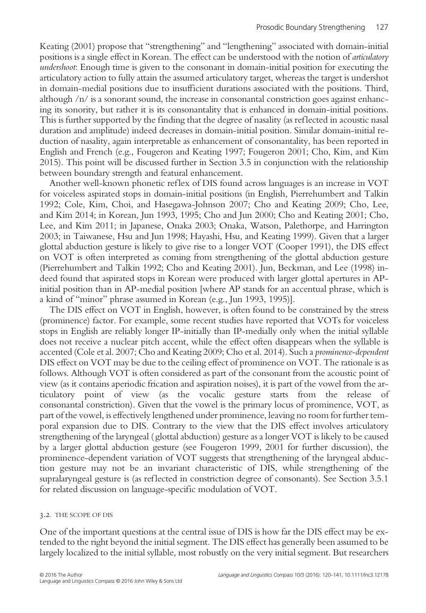Keating (2001) propose that "strengthening" and "lengthening" associated with domain-initial positions is a single effect in Korean. The effect can be understood with the notion of articulatory undershoot: Enough time is given to the consonant in domain-initial position for executing the articulatory action to fully attain the assumed articulatory target, whereas the target is undershot in domain-medial positions due to insufficient durations associated with the positions. Third, although  $/n/$  is a sonorant sound, the increase in consonantal constriction goes against enhancing its sonority, but rather it is its consonantality that is enhanced in domain-initial positions. This is further supported by the finding that the degree of nasality (as ref lected in acoustic nasal duration and amplitude) indeed decreases in domain-initial position. Similar domain-initial reduction of nasality, again interpretable as enhancement of consonantality, has been reported in English and French (e.g., Fougeron and Keating 1997; Fougeron 2001; Cho, Kim, and Kim 2015). This point will be discussed further in Section 3.5 in conjunction with the relationship between boundary strength and featural enhancement.

Another well-known phonetic ref lex of DIS found across languages is an increase in VOT for voiceless aspirated stops in domain-initial positions (in English, Pierrehumbert and Talkin 1992; Cole, Kim, Choi, and Hasegawa-Johnson 2007; Cho and Keating 2009; Cho, Lee, and Kim 2014; in Korean, Jun 1993, 1995; Cho and Jun 2000; Cho and Keating 2001; Cho, Lee, and Kim 2011; in Japanese, Onaka 2003; Onaka, Watson, Palethorpe, and Harrington 2003; in Taiwanese, Hsu and Jun 1998; Hayashi, Hsu, and Keating 1999). Given that a larger glottal abduction gesture is likely to give rise to a longer VOT (Cooper 1991), the DIS effect on VOT is often interpreted as coming from strengthening of the glottal abduction gesture (Pierrehumbert and Talkin 1992; Cho and Keating 2001). Jun, Beckman, and Lee (1998) indeed found that aspirated stops in Korean were produced with larger glottal apertures in APinitial position than in AP-medial position [where AP stands for an accentual phrase, which is a kind of "minor" phrase assumed in Korean (e.g., Jun 1993, 1995)].

The DIS effect on VOT in English, however, is often found to be constrained by the stress (prominence) factor. For example, some recent studies have reported that VOTs for voiceless stops in English are reliably longer IP-initially than IP-medially only when the initial syllable does not receive a nuclear pitch accent, while the effect often disappears when the syllable is accented (Cole et al. 2007; Cho and Keating 2009; Cho et al. 2014). Such a prominence-dependent DIS effect on VOT may be due to the ceiling effect of prominence on VOT. The rationale is as follows. Although VOT is often considered as part of the consonant from the acoustic point of view (as it contains aperiodic frication and aspiration noises), it is part of the vowel from the articulatory point of view (as the vocalic gesture starts from the release of consonantal constriction). Given that the vowel is the primary locus of prominence, VOT, as part of the vowel, is effectively lengthened under prominence, leaving no room for further temporal expansion due to DIS. Contrary to the view that the DIS effect involves articulatory strengthening of the laryngeal ( glottal abduction) gesture as a longer VOT is likely to be caused by a larger glottal abduction gesture (see Fougeron 1999, 2001 for further discussion), the prominence-dependent variation of VOT suggests that strengthening of the laryngeal abduction gesture may not be an invariant characteristic of DIS, while strengthening of the supralaryngeal gesture is (as reflected in constriction degree of consonants). See Section 3.5.1 for related discussion on language-specific modulation of VOT.

#### 3.2. THE SCOPE OF DIS

One of the important questions at the central issue of DIS is how far the DIS effect may be extended to the right beyond the initial segment. The DIS effect has generally been assumed to be largely localized to the initial syllable, most robustly on the very initial segment. But researchers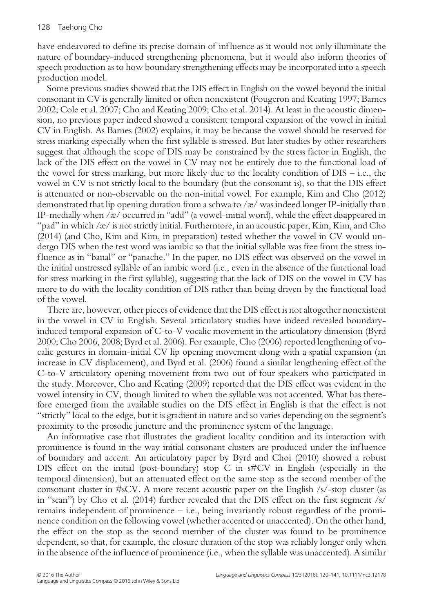have endeavored to define its precise domain of influence as it would not only illuminate the nature of boundary-induced strengthening phenomena, but it would also inform theories of speech production as to how boundary strengthening effects may be incorporated into a speech production model.

Some previous studies showed that the DIS effect in English on the vowel beyond the initial consonant in CV is generally limited or often nonexistent (Fougeron and Keating 1997; Barnes 2002; Cole et al. 2007; Cho and Keating 2009; Cho et al. 2014). At least in the acoustic dimension, no previous paper indeed showed a consistent temporal expansion of the vowel in initial CV in English. As Barnes (2002) explains, it may be because the vowel should be reserved for stress marking especially when the first syllable is stressed. But later studies by other researchers suggest that although the scope of DIS may be constrained by the stress factor in English, the lack of the DIS effect on the vowel in CV may not be entirely due to the functional load of the vowel for stress marking, but more likely due to the locality condition of  $DIS - i.e.,$  the vowel in CV is not strictly local to the boundary (but the consonant is), so that the DIS effect is attenuated or non-observable on the non-initial vowel. For example, Kim and Cho (2012) demonstrated that lip opening duration from a schwa to  $\alpha$  was indeed longer IP-initially than IP-medially when  $\alpha$  / occurred in "add" (a vowel-initial word), while the effect disappeared in "pad" in which /æ/ is not strictly initial. Furthermore, in an acoustic paper, Kim, Kim, and Cho (2014) (and Cho, Kim and Kim, in preparation) tested whether the vowel in CV would undergo DIS when the test word was iambic so that the initial syllable was free from the stress inf luence as in "banal" or "panache." In the paper, no DIS effect was observed on the vowel in the initial unstressed syllable of an iambic word (i.e., even in the absence of the functional load for stress marking in the first syllable), suggesting that the lack of DIS on the vowel in CV has more to do with the locality condition of DIS rather than being driven by the functional load of the vowel.

There are, however, other pieces of evidence that the DIS effect is not altogether nonexistent in the vowel in CV in English. Several articulatory studies have indeed revealed boundaryinduced temporal expansion of C-to-V vocalic movement in the articulatory dimension (Byrd 2000; Cho 2006, 2008; Byrd et al. 2006). For example, Cho (2006) reported lengthening of vocalic gestures in domain-initial CV lip opening movement along with a spatial expansion (an increase in CV displacement), and Byrd et al. (2006) found a similar lengthening effect of the C-to-V articulatory opening movement from two out of four speakers who participated in the study. Moreover, Cho and Keating (2009) reported that the DIS effect was evident in the vowel intensity in CV, though limited to when the syllable was not accented. What has therefore emerged from the available studies on the DIS effect in English is that the effect is not "strictly" local to the edge, but it is gradient in nature and so varies depending on the segment's proximity to the prosodic juncture and the prominence system of the language.

An informative case that illustrates the gradient locality condition and its interaction with prominence is found in the way initial consonant clusters are produced under the inf luence of boundary and accent. An articulatory paper by Byrd and Choi (2010) showed a robust DIS effect on the initial (post-boundary) stop C in s#CV in English (especially in the temporal dimension), but an attenuated effect on the same stop as the second member of the consonant cluster in #sCV. A more recent acoustic paper on the English /s/-stop cluster (as in "scan") by Cho et al. (2014) further revealed that the DIS effect on the first segment /s/ remains independent of prominence – i.e., being invariantly robust regardless of the prominence condition on the following vowel (whether accented or unaccented). On the other hand, the effect on the stop as the second member of the cluster was found to be prominence dependent, so that, for example, the closure duration of the stop was reliably longer only when in the absence of the influence of prominence (i.e., when the syllable was unaccented). A similar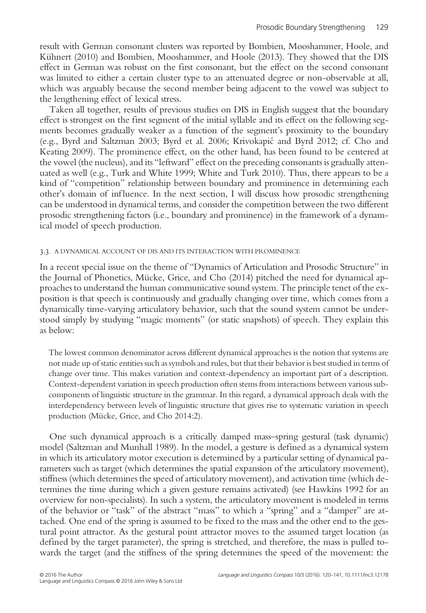result with German consonant clusters was reported by Bombien, Mooshammer, Hoole, and Kühnert (2010) and Bombien, Mooshammer, and Hoole (2013). They showed that the DIS effect in German was robust on the first consonant, but the effect on the second consonant was limited to either a certain cluster type to an attenuated degree or non-observable at all, which was arguably because the second member being adjacent to the vowel was subject to the lengthening effect of lexical stress.

Taken all together, results of previous studies on DIS in English suggest that the boundary effect is strongest on the first segment of the initial syllable and its effect on the following segments becomes gradually weaker as a function of the segment's proximity to the boundary (e.g., Byrd and Saltzman 2003; Byrd et al. 2006; Krivokapić and Byrd 2012; cf. Cho and Keating 2009). The prominence effect, on the other hand, has been found to be centered at the vowel (the nucleus), and its "leftward" effect on the preceding consonants is gradually attenuated as well (e.g., Turk and White 1999; White and Turk 2010). Thus, there appears to be a kind of "competition" relationship between boundary and prominence in determining each other's domain of inf luence. In the next section, I will discuss how prosodic strengthening can be understood in dynamical terms, and consider the competition between the two different prosodic strengthening factors (i.e., boundary and prominence) in the framework of a dynamical model of speech production.

#### 3.3. A DYNAMICAL ACCOUNT OF DIS AND ITS INTERACTION WITH PROMINENCE

In a recent special issue on the theme of "Dynamics of Articulation and Prosodic Structure" in the Journal of Phonetics, Mücke, Grice, and Cho (2014) pitched the need for dynamical approaches to understand the human communicative sound system. The principle tenet of the exposition is that speech is continuously and gradually changing over time, which comes from a dynamically time-varying articulatory behavior, such that the sound system cannot be understood simply by studying "magic moments" (or static snapshots) of speech. They explain this as below:

The lowest common denominator across different dynamical approaches is the notion that systems are not made up of static entities such as symbols and rules, but that their behavior is best studied in terms of change over time. This makes variation and context-dependency an important part of a description. Context-dependent variation in speech production often stems from interactions between various subcomponents of linguistic structure in the grammar. In this regard, a dynamical approach deals with the interdependency between levels of linguistic structure that gives rise to systematic variation in speech production (Mücke, Grice, and Cho 2014:2).

One such dynamical approach is a critically damped mass–spring gestural (task dynamic) model (Saltzman and Munhall 1989). In the model, a gesture is defined as a dynamical system in which its articulatory motor execution is determined by a particular setting of dynamical parameters such as target (which determines the spatial expansion of the articulatory movement), stiffness (which determines the speed of articulatory movement), and activation time (which determines the time during which a given gesture remains activated) (see Hawkins 1992 for an overview for non-specialists). In such a system, the articulatory movement is modeled in terms of the behavior or "task" of the abstract "mass" to which a "spring" and a "damper" are attached. One end of the spring is assumed to be fixed to the mass and the other end to the gestural point attractor. As the gestural point attractor moves to the assumed target location (as defined by the target parameter), the spring is stretched, and therefore, the mass is pulled towards the target (and the stiffness of the spring determines the speed of the movement: the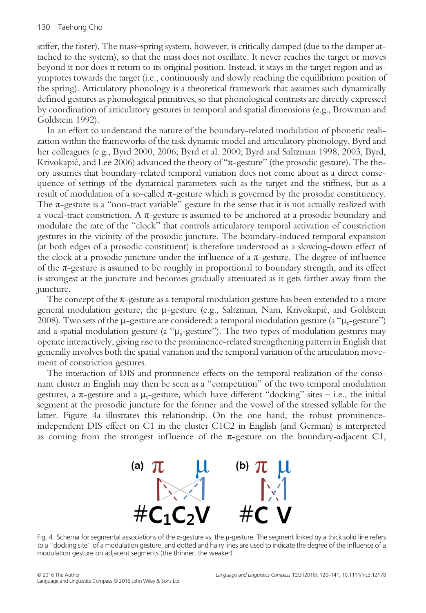stiffer, the faster). The mass–spring system, however, is critically damped (due to the damper attached to the system), so that the mass does not oscillate. It never reaches the target or moves beyond it nor does it return to its original position. Instead, it stays in the target region and asymptotes towards the target (i.e., continuously and slowly reaching the equilibrium position of the spring). Articulatory phonology is a theoretical framework that assumes such dynamically defined gestures as phonological primitives, so that phonological contrasts are directly expressed by coordination of articulatory gestures in temporal and spatial dimensions (e.g., Browman and Goldstein 1992).

In an effort to understand the nature of the boundary-related modulation of phonetic realization within the frameworks of the task dynamic model and articulatory phonology, Byrd and her colleagues (e.g., Byrd 2000, 2006; Byrd et al. 2000; Byrd and Saltzman 1998, 2003, Byrd, Krivokapić, and Lee 2006) advanced the theory of "π-gesture" (the prosodic gesture). The theory assumes that boundary-related temporal variation does not come about as a direct consequence of settings of the dynamical parameters such as the target and the stiffness, but as a result of modulation of a so-called  $\pi$ -gesture which is governed by the prosodic constituency. The  $\pi$ -gesture is a "non-tract variable" gesture in the sense that it is not actually realized with a vocal-tract constriction. A  $π$ -gesture is assumed to be anchored at a prosodic boundary and modulate the rate of the "clock" that controls articulatory temporal activation of constriction gestures in the vicinity of the prosodic juncture. The boundary-induced temporal expansion (at both edges of a prosodic constituent) is therefore understood as a slowing-down effect of the clock at a prosodic juncture under the influence of a  $\pi$ -gesture. The degree of influence of the  $\pi$ -gesture is assumed to be roughly in proportional to boundary strength, and its effect is strongest at the juncture and becomes gradually attenuated as it gets farther away from the juncture.

The concept of the  $\pi$ -gesture as a temporal modulation gesture has been extended to a more general modulation gesture, the μ-gesture (e.g., Saltzman, Nam, Krivokapić, and Goldstein 2008). Two sets of the  $\mu$ -gesture are considered: a temporal modulation gesture (a " $\mu$ <sub>t</sub>-gesture") and a spatial modulation gesture (a " $\mu_s$ -gesture"). The two types of modulation gestures may operate interactively, giving rise to the prominence-related strengthening pattern in English that generally involves both the spatial variation and the temporal variation of the articulation movement of constriction gestures.

The interaction of DIS and prominence effects on the temporal realization of the consonant cluster in English may then be seen as a "competition" of the two temporal modulation gestures, a  $\pi$ -gesture and a  $\mu$ -gesture, which have different "docking" sites – i.e., the initial segment at the prosodic juncture for the former and the vowel of the stressed syllable for the latter. Figure 4a illustrates this relationship. On the one hand, the robust prominenceindependent DIS effect on C1 in the cluster C1C2 in English (and German) is interpreted as coming from the strongest influence of the  $\pi$ -gesture on the boundary-adjacent C1,



Fig. 4. Schema for segmental associations of the π-gesture vs. the μ-gesture. The segment linked by a thick solid line refers to a "docking site" of a modulation gesture, and dotted and hairy lines are used to indicate the degree of the influence of a modulation gesture on adjacent segments (the thinner, the weaker).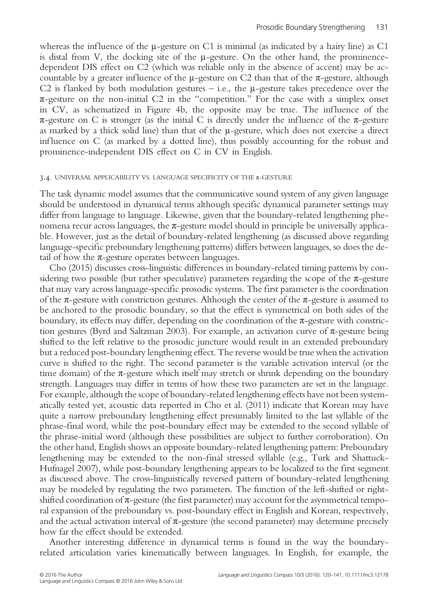whereas the influence of the  $\mu$ -gesture on C1 is minimal (as indicated by a hairy line) as C1 is distal from V, the docking site of the  $\mu$ -gesture. On the other hand, the prominencedependent DIS effect on C2 (which was reliable only in the absence of accent) may be accountable by a greater influence of the  $\mu$ -gesture on C2 than that of the  $\pi$ -gesture, although C2 is flanked by both modulation gestures – i.e., the  $\mu$ -gesture takes precedence over the  $\pi$ -gesture on the non-initial C2 in the "competition." For the case with a simplex onset in CV, as schematized in Figure 4b, the opposite may be true. The influence of the  $\pi$ -gesture on C is stronger (as the initial C is directly under the influence of the  $\pi$ -gesture as marked by a thick solid line) than that of the μ-gesture, which does not exercise a direct inf luence on C (as marked by a dotted line), thus possibly accounting for the robust and prominence-independent DIS effect on C in CV in English.

#### 3.4. UNIVERSAL APPLICABILITY VS. LANGUAGE SPECIFICITY OF THE  $\pi$ -GESTURE

The task dynamic model assumes that the communicative sound system of any given language should be understood in dynamical terms although specific dynamical parameter settings may differ from language to language. Likewise, given that the boundary-related lengthening phenomena recur across languages, the  $\pi$ -gesture model should in principle be universally applicable. However, just as the detail of boundary-related lengthening (as discussed above regarding language-specific preboundary lengthening patterns) differs between languages, so does the detail of how the  $\pi$ -gesture operates between languages.

Cho (2015) discusses cross-linguistic differences in boundary-related timing patterns by considering two possible (but rather speculative) parameters regarding the scope of the  $\pi$ -gesture that may vary across language-specific prosodic systems. The first parameter is the coordination of the  $\pi$ -gesture with constriction gestures. Although the center of the  $\pi$ -gesture is assumed to be anchored to the prosodic boundary, so that the effect is symmetrical on both sides of the boundary, its effects may differ, depending on the coordination of the  $\pi$ -gesture with constriction gestures (Byrd and Saltzman 2003). For example, an activation curve of  $\pi$ -gesture being shifted to the left relative to the prosodic juncture would result in an extended preboundary but a reduced post-boundary lengthening effect. The reverse would be true when the activation curve is shifted to the right. The second parameter is the variable activation interval (or the time domain) of the  $\pi$ -gesture which itself may stretch or shrink depending on the boundary strength. Languages may differ in terms of how these two parameters are set in the language. For example, although the scope of boundary-related lengthening effects have not been systematically tested yet, acoustic data reported in Cho et al. (2011) indicate that Korean may have quite a narrow preboundary lengthening effect presumably limited to the last syllable of the phrase-final word, while the post-boundary effect may be extended to the second syllable of the phrase-initial word (although these possibilities are subject to further corroboration). On the other hand, English shows an opposite boundary-related lengthening pattern: Preboundary lengthening may be extended to the non-final stressed syllable (e.g., Turk and Shattuck-Hufnagel 2007), while post-boundary lengthening appears to be localized to the first segment as discussed above. The cross-linguistically reversed pattern of boundary-related lengthening may be modeled by regulating the two parameters. The function of the left-shifted or rightshifted coordination of  $\pi$ -gesture (the first parameter) may account for the asymmetrical temporal expansion of the preboundary vs. post-boundary effect in English and Korean, respectively, and the actual activation interval of  $\pi$ -gesture (the second parameter) may determine precisely how far the effect should be extended.

Another interesting difference in dynamical terms is found in the way the boundaryrelated articulation varies kinematically between languages. In English, for example, the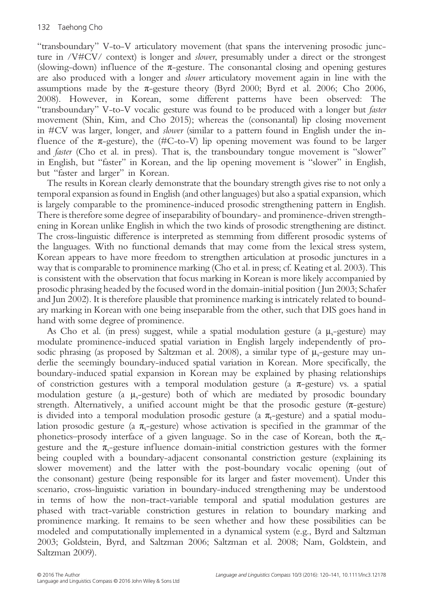"transboundary" V-to-V articulatory movement (that spans the intervening prosodic juncture in /V#CV/ context) is longer and *slower*, presumably under a direct or the strongest (slowing-down) influence of the  $\pi$ -gesture. The consonantal closing and opening gestures are also produced with a longer and slower articulatory movement again in line with the assumptions made by the  $\pi$ -gesture theory (Byrd 2000; Byrd et al. 2006; Cho 2006, 2008). However, in Korean, some different patterns have been observed: The "transboundary" V-to-V vocalic gesture was found to be produced with a longer but faster movement (Shin, Kim, and Cho 2015); whereas the (consonantal) lip closing movement in #CV was larger, longer, and slower (similar to a pattern found in English under the influence of the  $\pi$ -gesture), the (#C-to-V) lip opening movement was found to be larger and faster (Cho et al. in press). That is, the transboundary tongue movement is "slower" in English, but "faster" in Korean, and the lip opening movement is "slower" in English, but "faster and larger" in Korean.

The results in Korean clearly demonstrate that the boundary strength gives rise to not only a temporal expansion as found in English (and other languages) but also a spatial expansion, which is largely comparable to the prominence-induced prosodic strengthening pattern in English. There is therefore some degree of inseparability of boundary- and prominence-driven strengthening in Korean unlike English in which the two kinds of prosodic strengthening are distinct. The cross-linguistic difference is interpreted as stemming from different prosodic systems of the languages. With no functional demands that may come from the lexical stress system, Korean appears to have more freedom to strengthen articulation at prosodic junctures in a way that is comparable to prominence marking (Cho et al. in press; cf. Keating et al. 2003). This is consistent with the observation that focus marking in Korean is more likely accompanied by prosodic phrasing headed by the focused word in the domain-initial position ( Jun 2003; Schafer and Jun 2002). It is therefore plausible that prominence marking is intricately related to boundary marking in Korean with one being inseparable from the other, such that DIS goes hand in hand with some degree of prominence.

As Cho et al. (in press) suggest, while a spatial modulation gesture (a  $\mu_s$ -gesture) may modulate prominence-induced spatial variation in English largely independently of prosodic phrasing (as proposed by Saltzman et al. 2008), a similar type of  $\mu_{s}$ -gesture may underlie the seemingly boundary-induced spatial variation in Korean. More specifically, the boundary-induced spatial expansion in Korean may be explained by phasing relationships of constriction gestures with a temporal modulation gesture (a  $\pi$ -gesture) vs. a spatial modulation gesture (a  $\mu_s$ -gesture) both of which are mediated by prosodic boundary strength. Alternatively, a unified account might be that the prosodic gesture  $(\pi$ -gesture) is divided into a temporal modulation prosodic gesture (a  $\pi_{t}$ -gesture) and a spatial modulation prosodic gesture (a  $\pi_s$ -gesture) whose activation is specified in the grammar of the phonetics–prosody interface of a given language. So in the case of Korean, both the  $\pi_{t-}$ gesture and the  $\pi$ <sub>s</sub>-gesture influence domain-initial constriction gestures with the former being coupled with a boundary-adjacent consonantal constriction gesture (explaining its slower movement) and the latter with the post-boundary vocalic opening (out of the consonant) gesture (being responsible for its larger and faster movement). Under this scenario, cross-linguistic variation in boundary-induced strengthening may be understood in terms of how the non-tract-variable temporal and spatial modulation gestures are phased with tract-variable constriction gestures in relation to boundary marking and prominence marking. It remains to be seen whether and how these possibilities can be modeled and computationally implemented in a dynamical system (e.g., Byrd and Saltzman 2003; Goldstein, Byrd, and Saltzman 2006; Saltzman et al. 2008; Nam, Goldstein, and Saltzman 2009).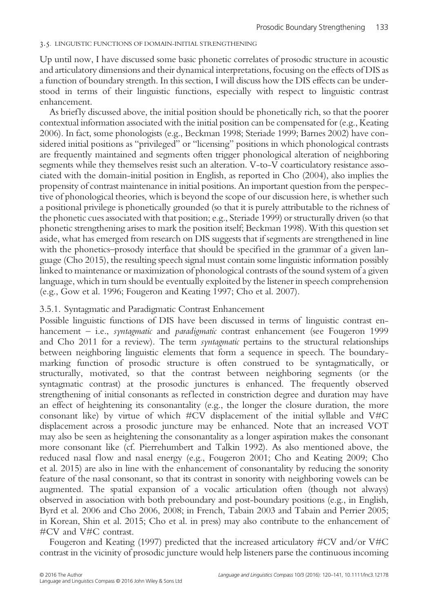## 3.5. LINGUISTIC FUNCTIONS OF DOMAIN-INITIAL STRENGTHENING

Up until now, I have discussed some basic phonetic correlates of prosodic structure in acoustic and articulatory dimensions and their dynamical interpretations, focusing on the effects of DIS as a function of boundary strength. In this section, I will discuss how the DIS effects can be understood in terms of their linguistic functions, especially with respect to linguistic contrast enhancement.

As briefly discussed above, the initial position should be phonetically rich, so that the poorer contextual information associated with the initial position can be compensated for (e.g., Keating 2006). In fact, some phonologists (e.g., Beckman 1998; Steriade 1999; Barnes 2002) have considered initial positions as "privileged" or "licensing" positions in which phonological contrasts are frequently maintained and segments often trigger phonological alteration of neighboring segments while they themselves resist such an alteration. V-to-V coarticulatory resistance associated with the domain-initial position in English, as reported in Cho (2004), also implies the propensity of contrast maintenance in initial positions. An important question from the perspective of phonological theories, which is beyond the scope of our discussion here, is whether such a positional privilege is phonetically grounded (so that it is purely attributable to the richness of the phonetic cues associated with that position; e.g., Steriade 1999) or structurally driven (so that phonetic strengthening arises to mark the position itself; Beckman 1998). With this question set aside, what has emerged from research on DIS suggests that if segments are strengthened in line with the phonetics–prosody interface that should be specified in the grammar of a given language (Cho 2015), the resulting speech signal must contain some linguistic information possibly linked to maintenance or maximization of phonological contrasts of the sound system of a given language, which in turn should be eventually exploited by the listener in speech comprehension (e.g., Gow et al. 1996; Fougeron and Keating 1997; Cho et al. 2007).

## 3.5.1. Syntagmatic and Paradigmatic Contrast Enhancement

Possible linguistic functions of DIS have been discussed in terms of linguistic contrast enhancement – i.e., *syntagmatic* and *paradigmatic* contrast enhancement (see Fougeron 1999 and Cho 2011 for a review). The term syntagmatic pertains to the structural relationships between neighboring linguistic elements that form a sequence in speech. The boundarymarking function of prosodic structure is often construed to be syntagmatically, or structurally, motivated, so that the contrast between neighboring segments (or the syntagmatic contrast) at the prosodic junctures is enhanced. The frequently observed strengthening of initial consonants as reflected in constriction degree and duration may have an effect of heightening its consonantality (e.g., the longer the closure duration, the more consonant like) by virtue of which #CV displacement of the initial syllable and V#C displacement across a prosodic juncture may be enhanced. Note that an increased VOT may also be seen as heightening the consonantality as a longer aspiration makes the consonant more consonant like (cf. Pierrehumbert and Talkin 1992). As also mentioned above, the reduced nasal flow and nasal energy (e.g., Fougeron 2001; Cho and Keating 2009; Cho et al. 2015) are also in line with the enhancement of consonantality by reducing the sonority feature of the nasal consonant, so that its contrast in sonority with neighboring vowels can be augmented. The spatial expansion of a vocalic articulation often (though not always) observed in association with both preboundary and post-boundary positions (e.g., in English, Byrd et al. 2006 and Cho 2006, 2008; in French, Tabain 2003 and Tabain and Perrier 2005; in Korean, Shin et al. 2015; Cho et al. in press) may also contribute to the enhancement of #CV and V#C contrast.

Fougeron and Keating (1997) predicted that the increased articulatory #CV and/or V#C contrast in the vicinity of prosodic juncture would help listeners parse the continuous incoming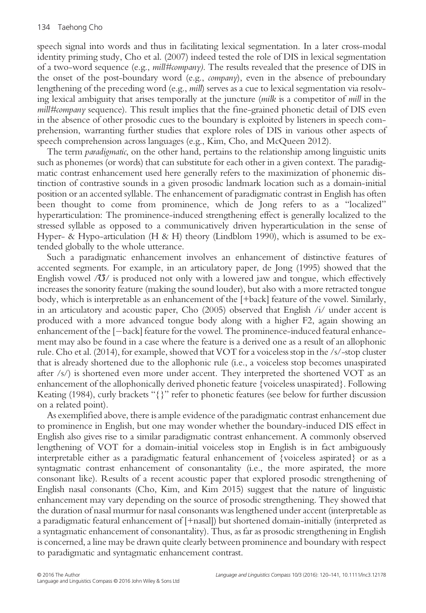speech signal into words and thus in facilitating lexical segmentation. In a later cross-modal identity priming study, Cho et al. (2007) indeed tested the role of DIS in lexical segmentation of a two-word sequence (e.g., mill#company). The results revealed that the presence of DIS in the onset of the post-boundary word (e.g., company), even in the absence of preboundary lengthening of the preceding word (e.g., *mill*) serves as a cue to lexical segmentation via resolving lexical ambiguity that arises temporally at the juncture (milk is a competitor of mill in the mill#company sequence). This result implies that the fine-grained phonetic detail of DIS even in the absence of other prosodic cues to the boundary is exploited by listeners in speech comprehension, warranting further studies that explore roles of DIS in various other aspects of speech comprehension across languages (e.g., Kim, Cho, and McQueen 2012).

The term paradigmatic, on the other hand, pertains to the relationship among linguistic units such as phonemes (or words) that can substitute for each other in a given context. The paradigmatic contrast enhancement used here generally refers to the maximization of phonemic distinction of contrastive sounds in a given prosodic landmark location such as a domain-initial position or an accented syllable. The enhancement of paradigmatic contrast in English has often been thought to come from prominence, which de Jong refers to as a "localized" hyperarticulation: The prominence-induced strengthening effect is generally localized to the stressed syllable as opposed to a communicatively driven hyperarticulation in the sense of Hyper- & Hypo-articulation (H & H) theory (Lindblom 1990), which is assumed to be extended globally to the whole utterance.

Such a paradigmatic enhancement involves an enhancement of distinctive features of accented segments. For example, in an articulatory paper, de Jong (1995) showed that the English vowel  $\langle \mathbf{U} \rangle$  is produced not only with a lowered jaw and tongue, which effectively increases the sonority feature (making the sound louder), but also with a more retracted tongue body, which is interpretable as an enhancement of the [+back] feature of the vowel. Similarly, in an articulatory and acoustic paper, Cho (2005) observed that English /i/ under accent is produced with a more advanced tongue body along with a higher F2, again showing an enhancement of the  $[-\text{back}]$  feature for the vowel. The prominence-induced featural enhancement may also be found in a case where the feature is a derived one as a result of an allophonic rule. Cho et al. (2014), for example, showed that VOT for a voiceless stop in the /s/-stop cluster that is already shortened due to the allophonic rule (i.e., a voiceless stop becomes unaspirated after /s/) is shortened even more under accent. They interpreted the shortened VOT as an enhancement of the allophonically derived phonetic feature {voiceless unaspirated}. Following Keating (1984), curly brackets "{}" refer to phonetic features (see below for further discussion on a related point).

As exemplified above, there is ample evidence of the paradigmatic contrast enhancement due to prominence in English, but one may wonder whether the boundary-induced DIS effect in English also gives rise to a similar paradigmatic contrast enhancement. A commonly observed lengthening of VOT for a domain-initial voiceless stop in English is in fact ambiguously interpretable either as a paradigmatic featural enhancement of {voiceless aspirated} or as a syntagmatic contrast enhancement of consonantality (i.e., the more aspirated, the more consonant like). Results of a recent acoustic paper that explored prosodic strengthening of English nasal consonants (Cho, Kim, and Kim 2015) suggest that the nature of linguistic enhancement may vary depending on the source of prosodic strengthening. They showed that the duration of nasal murmur for nasal consonants was lengthened under accent (interpretable as a paradigmatic featural enhancement of [+nasal]) but shortened domain-initially (interpreted as a syntagmatic enhancement of consonantality). Thus, as far as prosodic strengthening in English is concerned, a line may be drawn quite clearly between prominence and boundary with respect to paradigmatic and syntagmatic enhancement contrast.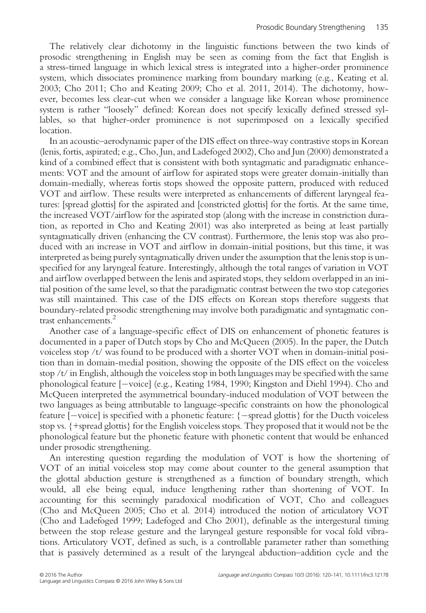The relatively clear dichotomy in the linguistic functions between the two kinds of prosodic strengthening in English may be seen as coming from the fact that English is a stress-timed language in which lexical stress is integrated into a higher-order prominence system, which dissociates prominence marking from boundary marking (e.g., Keating et al. 2003; Cho 2011; Cho and Keating 2009; Cho et al. 2011, 2014). The dichotomy, however, becomes less clear-cut when we consider a language like Korean whose prominence system is rather "loosely" defined: Korean does not specify lexically defined stressed syllables, so that higher-order prominence is not superimposed on a lexically specified location.

In an acoustic–aerodynamic paper of the DIS effect on three-way contrastive stops in Korean (lenis, fortis, aspirated; e.g., Cho, Jun, and Ladefoged 2002), Cho and Jun (2000) demonstrated a kind of a combined effect that is consistent with both syntagmatic and paradigmatic enhancements: VOT and the amount of airflow for aspirated stops were greater domain-initially than domain-medially, whereas fortis stops showed the opposite pattern, produced with reduced VOT and airflow. These results were interpreted as enhancements of different laryngeal features: [spread glottis] for the aspirated and [constricted glottis] for the fortis. At the same time, the increased VOT/airflow for the aspirated stop (along with the increase in constriction duration, as reported in Cho and Keating 2001) was also interpreted as being at least partially syntagmatically driven (enhancing the CV contrast). Furthermore, the lenis stop was also produced with an increase in VOT and airflow in domain-initial positions, but this time, it was interpreted as being purely syntagmatically driven under the assumption that the lenis stop is unspecified for any laryngeal feature. Interestingly, although the total ranges of variation in VOT and airf low overlapped between the lenis and aspirated stops, they seldom overlapped in an initial position of the same level, so that the paradigmatic contrast between the two stop categories was still maintained. This case of the DIS effects on Korean stops therefore suggests that boundary-related prosodic strengthening may involve both paradigmatic and syntagmatic contrast enhancements.<sup>2</sup>

Another case of a language-specific effect of DIS on enhancement of phonetic features is documented in a paper of Dutch stops by Cho and McQueen (2005). In the paper, the Dutch voiceless stop /t/ was found to be produced with a shorter VOT when in domain-initial position than in domain-medial position, showing the opposite of the DIS effect on the voiceless stop  $/t/$  in English, although the voiceless stop in both languages may be specified with the same phonological feature [-voice] (e.g., Keating 1984, 1990; Kingston and Diehl 1994). Cho and McQueen interpreted the asymmetrical boundary-induced modulation of VOT between the two languages as being attributable to language-specific constraints on how the phonological feature  $[-\text{voice}]$  is specified with a phonetic feature:  $\{-\text{spread glottis}\}\$  for the Ducth voiceless stop vs. {+spread glottis} for the English voiceless stops. They proposed that it would not be the phonological feature but the phonetic feature with phonetic content that would be enhanced under prosodic strengthening.

An interesting question regarding the modulation of VOT is how the shortening of VOT of an initial voiceless stop may come about counter to the general assumption that the glottal abduction gesture is strengthened as a function of boundary strength, which would, all else being equal, induce lengthening rather than shortening of VOT. In accounting for this seemingly paradoxical modification of VOT, Cho and colleagues (Cho and McQueen 2005; Cho et al. 2014) introduced the notion of articulatory VOT (Cho and Ladefoged 1999; Ladefoged and Cho 2001), definable as the intergestural timing between the stop release gesture and the laryngeal gesture responsible for vocal fold vibrations. Articulatory VOT, defined as such, is a controllable parameter rather than something that is passively determined as a result of the laryngeal abduction–addition cycle and the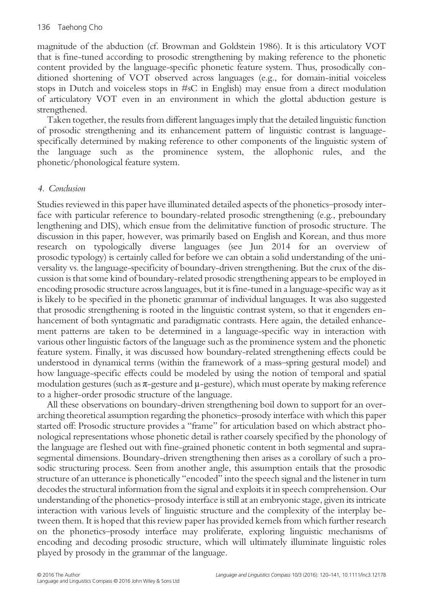magnitude of the abduction (cf. Browman and Goldstein 1986). It is this articulatory VOT that is fine-tuned according to prosodic strengthening by making reference to the phonetic content provided by the language-specific phonetic feature system. Thus, prosodically conditioned shortening of VOT observed across languages (e.g., for domain-initial voiceless stops in Dutch and voiceless stops in #sC in English) may ensue from a direct modulation of articulatory VOT even in an environment in which the glottal abduction gesture is strengthened.

Taken together, the results from different languages imply that the detailed linguistic function of prosodic strengthening and its enhancement pattern of linguistic contrast is languagespecifically determined by making reference to other components of the linguistic system of the language such as the prominence system, the allophonic rules, and the phonetic/phonological feature system.

# 4. Conclusion

Studies reviewed in this paper have illuminated detailed aspects of the phonetics–prosody interface with particular reference to boundary-related prosodic strengthening (e.g., preboundary lengthening and DIS), which ensue from the delimitative function of prosodic structure. The discussion in this paper, however, was primarily based on English and Korean, and thus more research on typologically diverse languages (see Jun 2014 for an overview of prosodic typology) is certainly called for before we can obtain a solid understanding of the universality vs. the language-specificity of boundary-driven strengthening. But the crux of the discussion is that some kind of boundary-related prosodic strengthening appears to be employed in encoding prosodic structure across languages, but it is fine-tuned in a language-specific way as it is likely to be specified in the phonetic grammar of individual languages. It was also suggested that prosodic strengthening is rooted in the linguistic contrast system, so that it engenders enhancement of both syntagmatic and paradigmatic contrasts. Here again, the detailed enhancement patterns are taken to be determined in a language-specific way in interaction with various other linguistic factors of the language such as the prominence system and the phonetic feature system. Finally, it was discussed how boundary-related strengthening effects could be understood in dynamical terms (within the framework of a mass–spring gestural model) and how language-specific effects could be modeled by using the notion of temporal and spatial modulation gestures (such as  $\pi$ -gesture and  $\mu$ -gesture), which must operate by making reference to a higher-order prosodic structure of the language.

All these observations on boundary-driven strengthening boil down to support for an overarching theoretical assumption regarding the phonetics–prosody interface with which this paper started off: Prosodic structure provides a "frame" for articulation based on which abstract phonological representations whose phonetic detail is rather coarsely specified by the phonology of the language are fleshed out with fine-grained phonetic content in both segmental and suprasegmental dimensions. Boundary-driven strengthening then arises as a corollary of such a prosodic structuring process. Seen from another angle, this assumption entails that the prosodic structure of an utterance is phonetically "encoded" into the speech signal and the listener in turn decodes the structural information from the signal and exploits it in speech comprehension. Our understanding of the phonetics–prosody interface is still at an embryonic stage, given its intricate interaction with various levels of linguistic structure and the complexity of the interplay between them. It is hoped that this review paper has provided kernels from which further research on the phonetics–prosody interface may proliferate, exploring linguistic mechanisms of encoding and decoding prosodic structure, which will ultimately illuminate linguistic roles played by prosody in the grammar of the language.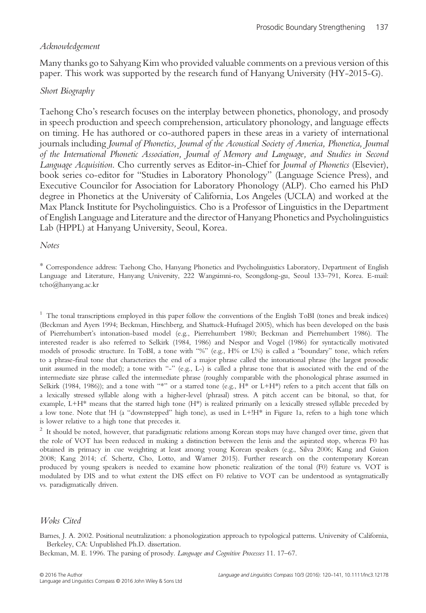## Acknowledgement

Many thanks go to Sahyang Kim who provided valuable comments on a previous version of this paper. This work was supported by the research fund of Hanyang University (HY-2015-G).

## Short Biography

Taehong Cho's research focuses on the interplay between phonetics, phonology, and prosody in speech production and speech comprehension, articulatory phonology, and language effects on timing. He has authored or co-authored papers in these areas in a variety of international journals including Journal of Phonetics, Journal of the Acoustical Society of America, Phonetica, Journal of the International Phonetic Association, Journal of Memory and Language, and Studies in Second Language Acquisition. Cho currently serves as Editor-in-Chief for Journal of Phonetics (Elsevier), book series co-editor for "Studies in Laboratory Phonology" (Language Science Press), and Executive Councilor for Association for Laboratory Phonology (ALP). Cho earned his PhD degree in Phonetics at the University of California, Los Angeles (UCLA) and worked at the Max Planck Institute for Psycholinguistics. Cho is a Professor of Linguistics in the Department of English Language and Literature and the director of Hanyang Phonetics and Psycholinguistics Lab (HPPL) at Hanyang University, Seoul, Korea.

#### Notes

\* Correspondence address: Taehong Cho, Hanyang Phonetics and Psycholinguistics Laboratory, Department of English Language and Literature, Hanyang University, 222 Wangsimni-ro, Seongdong-gu, Seoul 133–791, Korea. E-mail: tcho@hanyang.ac.kr

<sup>1</sup> The tonal transcriptions employed in this paper follow the conventions of the English ToBI (tones and break indices) (Beckman and Ayers 1994; Beckman, Hirschberg, and Shattuck-Hufnagel 2005), which has been developed on the basis of Pierrehumbert's intonation-based model (e.g., Pierrehumbert 1980; Beckman and Pierrehumbert 1986). The interested reader is also referred to Selkirk (1984, 1986) and Nespor and Vogel (1986) for syntactically motivated models of prosodic structure. In ToBI, a tone with "%" (e.g., H% or L%) is called a "boundary" tone, which refers to a phrase-final tone that characterizes the end of a major phrase called the intonational phrase (the largest prosodic unit assumed in the model); a tone with "-" (e.g., L-) is called a phrase tone that is associated with the end of the intermediate size phrase called the intermediate phrase (roughly comparable with the phonological phrase assumed in Selkirk (1984, 1986)); and a tone with "\*" or a starred tone (e.g.,  $H^*$  or L+H\*) refers to a pitch accent that falls on a lexically stressed syllable along with a higher-level (phrasal) stress. A pitch accent can be bitonal, so that, for example, L+H\* means that the starred high tone (H\*) is realized primarily on a lexically stressed syllable preceded by a low tone. Note that !H (a "downstepped" high tone), as used in L+!H\* in Figure 1a, refers to a high tone which is lower relative to a high tone that precedes it.

<sup>2</sup> It should be noted, however, that paradigmatic relations among Korean stops may have changed over time, given that the role of VOT has been reduced in making a distinction between the lenis and the aspirated stop, whereas F0 has obtained its primacy in cue weighting at least among young Korean speakers (e.g., Silva 2006; Kang and Guion 2008; Kang 2014; cf. Schertz, Cho, Lotto, and Warner 2015). Further research on the contemporary Korean produced by young speakers is needed to examine how phonetic realization of the tonal (F0) feature vs. VOT is modulated by DIS and to what extent the DIS effect on F0 relative to VOT can be understood as syntagmatically vs. paradigmatically driven.

## Woks Cited

Barnes, J. A. 2002. Positional neutralization: a phonologization approach to typological patterns. University of California, Berkeley, CA: Unpublished Ph.D. dissertation.

Beckman, M. E. 1996. The parsing of prosody. Language and Cognitive Processes 11. 17–67.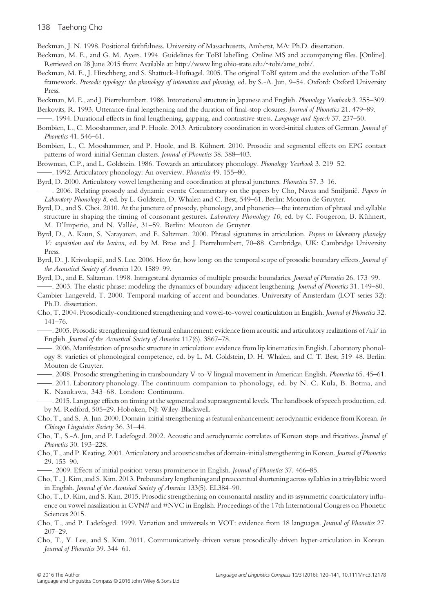#### 138 Taehong Cho

Beckman, J. N. 1998. Positional faithfulness. University of Massachusetts, Amherst, MA: Ph.D. dissertation.

- Beckman, M. E., and G. M. Ayers. 1994. Guidelines for ToBI labelling. Online MS and accompanying files. [Online]. Retrieved on 28 June 2015 from: Available at: [http://www.ling.ohio-state.edu/~tobi/ame\\_tobi/](http://www.ling.ohio-state.edu/~tobi/ame_tobi/).
- Beckman, M. E., J. Hirschberg, and S. Shattuck-Hufnagel. 2005. The original ToBI system and the evolution of the ToBI framework. Prosodic typology: the phonology of intonation and phrasing, ed. by S.-A. Jun, 9–54. Oxford: Oxford University Press.
- Beckman, M. E., and J. Pierrehumbert. 1986. Intonational structure in Japanese and English. Phonology Yearbook 3. 255–309.
- Berkovits, R. 1993. Utterance-final lengthening and the duration of final-stop closures. Journal of Phonetics 21. 479–89.
- ——. 1994. Durational effects in final lengthening, gapping, and contrastive stress. Language and Speech 37. 237–50.
- Bombien, L., C. Mooshammer, and P. Hoole. 2013. Articulatory coordination in word-initial clusters of German. Journal of Phonetics 41. 546–61.
- Bombien, L., C. Mooshammer, and P. Hoole, and B. Kühnert. 2010. Prosodic and segmental effects on EPG contact patterns of word-initial German clusters. Journal of Phonetics 38. 388–403.
- Browman, C.P., and L. Goldstein. 1986. Towards an articulatory phonology. Phonology Yearbook 3. 219–52.
- ——. 1992. Articulatory phonology: An overview. Phonetica 49. 155–80.
- Byrd, D. 2000. Articulatory vowel lengthening and coordination at phrasal junctures. Phonetica 57. 3–16.
- -. 2006. Relating prosody and dynamic events: Commentary on the papers by Cho, Navas and Smiljanić. Papers in Laboratory Phonology 8, ed. by L. Goldstein, D. Whalen and C. Best, 549–61. Berlin: Mouton de Gruyter.
- Byrd, D., and S. Choi. 2010. At the juncture of prosody, phonology, and phonetics—the interaction of phrasal and syllable structure in shaping the timing of consonant gestures. Laboratory Phonology 10, ed. by C. Fougeron, B. Kühnert, M. D'Imperio, and N. Vallée, 31–59. Berlin: Mouton de Gruyter.
- Byrd, D., A. Kaun, S. Narayanan, and E. Saltzman. 2000. Phrasal signatures in articulation. Papers in laboratory phonolgy V: acquisition and the lexicon, ed. by M. Broe and J. Pierrehumbert, 70–88. Cambridge, UK: Cambridge University Press.
- Byrd, D., J. Krivokapić, and S. Lee. 2006. How far, how long: on the temporal scope of prosodic boundary effects. Journal of the Acoustical Society of America 120. 1589–99.
- Byrd, D., and E. Saltzman. 1998. Intragestural dynamics of multiple prosodic boundaries. Journal of Phoentics 26. 173–99.

——. 2003. The elastic phrase: modeling the dynamics of boundary-adjacent lengthening. Journal of Phonetics 31. 149–80.

- Cambier-Langeveld, T. 2000. Temporal marking of accent and boundaries. University of Amsterdam (LOT series 32): Ph.D. dissertation.
- Cho, T. 2004. Prosodically-conditioned strengthening and vowel-to-vowel coarticulation in English. Journal of Phonetics 32. 141–76.
- ——. 2005. Prosodic strengthening and featural enhancement: evidence from acoustic and articulatory realizations of /a,i/ in English. Journal of the Acoustical Society of America 117(6). 3867–78.
- ——. 2006. Manifestation of prosodic structure in articulation: evidence from lip kinematics in English. Laboratory phonology 8: varieties of phonological competence, ed. by L. M. Goldstein, D. H. Whalen, and C. T. Best, 519–48. Berlin: Mouton de Gruyter.
- ——. 2008. Prosodic strengthening in transboundary V-to-V lingual movement in American English. Phonetica 65. 45–61.
- ——. 2011. Laboratory phonology. The continuum companion to phonology, ed. by N. C. Kula, B. Botma, and K. Nasukawa, 343–68. London: Continuum.
- ——. 2015. Language effects on timing at the segmental and suprasegmental levels. The handbook of speech production, ed. by M. Redford, 505–29. Hoboken, NJ: Wiley-Blackwell.
- Cho, T., and S.-A. Jun. 2000. Domain-initial strengthening as featural enhancement: aerodynamic evidence from Korean. In Chicago Linguistics Society 36. 31–44.
- Cho, T., S.-A. Jun, and P. Ladefoged. 2002. Acoustic and aerodynamic correlates of Korean stops and fricatives. Journal of Phonetics 30. 193–228.
- Cho, T., and P. Keating. 2001. Articulatory and acoustic studies of domain-initial strengthening in Korean. Journal of Phonetics 29. 155–90.
- ——. 2009. Effects of initial position versus prominence in English. Journal of Phonetics 37. 466–85.
- Cho, T., J. Kim, and S. Kim. 2013. Preboundary lengthening and preaccentual shortening across syllables in a trisyllabic word in English. Journal of the Acousical Society of America 133(5). EL384–90.
- Cho, T., D. Kim, and S. Kim. 2015. Prosodic strengthening on consonantal nasality and its asymmetric coarticulatory influence on vowel nasalization in CVN# and #NVC in English. Proceedings of the 17th International Congress on Phonetic Sciences 2015.
- Cho, T., and P. Ladefoged. 1999. Variation and universals in VOT: evidence from 18 languages. Journal of Phonetics 27. 207–29.
- Cho, T., Y. Lee, and S. Kim. 2011. Communicatively-driven versus prosodically-driven hyper-articulation in Korean. Journal of Phonetics 39. 344–61.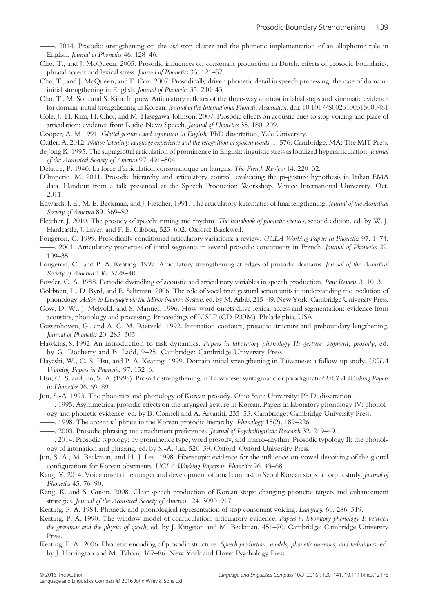——. 2014. Prosodic strengthening on the /s/-stop cluster and the phonetic implementation of an allophonic rule in English. Journal of Phonetics 46. 128–46.

- Cho, T., and J. McQueen. 2005. Prosodic influences on consonant production in Dutch: effects of prosodic boundaries, phrasal accent and lexical stress. Journal of Phonetics 33. 121–57.
- Cho, T., and J. McQueen, and E. Cox. 2007. Prosodically driven phonetic detail in speech processing: the case of domaininitial strengthening in English. Journal of Phonetics 35. 210–43.
- Cho, T., M. Son, and S. Kim. In press. Articulatory reflexes of the three-way contrast in labial stops and kinematic evidence for domain-initial strengthening in Korean. Journal of the International Phonetic Association. doi: 10.1017/S0025100315000481
- Cole, J., H. Kim, H. Choi, and M. Hasegawa-Johnson. 2007. Prosodic effects on acoustic cues to stop voicing and place of articulation: evidence from Radio News Speech. Journal of Phonetics 35. 180–209.
- Cooper, A. M 1991. Glottal gestures and aspiration in English. PhD dissertation, Yale University.
- Cutler, A. 2012. Native listening: language experience and the recognition of spoken words, 1–576. Cambridge, MA: The MIT Press.
- de Jong K. 1995. The supraglottal articulation of prominence in English: linguistic stress as localized hyperarticulation. Journal of the Acoustical Society of America 97. 491–504.
- Delattre, P. 1940. La force d'articulation consonantique en français. The French Review 14. 220–32.
- D'Imperio, M. 2011. Prosodic hierarchy and articulatory control: evaluating the pi-gesture hypothesis in Italian EMA data. Handout from a talk presented at the Speech Production Workshop, Venice International University, Oct. 2011.
- Edwards, J. E., M. E. Beckman, and J. Fletcher. 1991. The articulatory kinematics of final lengthening. Journal of the Acoustical Society of America 89. 369-82.
- Fletcher, J. 2010. The prosody of speech: timing and rhythm. The handbook of phonetic sciences, second edition, ed. by W. J. Hardcastle, J. Laver, and F. E. Gibbon, 523–602. Oxford: Blackwell.
- Fougeron, C. 1999. Prosodically conditioned articulatory variations: a review. UCLA Working Papers in Phonetics 97. 1–74.
- ——. 2001. Articulatory properties of initial segments in several prosodic constituents in French. Journal of Phonetics 29. 109–35.
- Fougeron, C., and P. A. Keating. 1997. Articulatory strengthening at edges of prosodic domains. Journal of the Acoustical Society of America 106. 3728-40.
- Fowler, C. A. 1988. Periodic dwindling of acoustic and articulatory variables in speech production. Paw Review 3. 10–3.
- Goldstein, L., D. Byrd, and E. Saltzman. 2006. The role of vocal tract gestural action units in understanding the evolution of phonology. Action to Language via the Mirror Neuron System, ed. by M. Arbib, 215–49. New York: Cambridge University Press.
- Gow, D. W., J. Melvold, and S. Manuel. 1996. How word onsets drive lexical access and segmentation: evidence from acoustics, phonology and processing. Proceedings of ICSLP (CD-ROM). Philadelphia, USA.
- Gussenhoven, G., and A. C. M. Rietveld. 1992. Intonation contours, prosodic structure and preboundary lengthening. Journal of Phonetics 20. 283–303.
- Hawkins, S. 1992. An introduction to task dynamics. Papers in laboratory phonology II: gesture, segment, prosody, ed. by G. Docherty and B. Ladd, 9–25. Cambridge: Cambridge University Press.
- Hayashi, W., C.-S. Hsu, and P. A. Keating. 1999. Domain-initial strengthening in Taiwanese: a follow-up study. UCLA Working Papers in Phonetics 97. 152–6.
- Hsu, C.-S. and Jun, S.-A. (1998). Prosodic strengthening in Taiwanese: syntagmatic or paradigmatic? UCLA Working Papers in Phonetics 96. 69–89.
- Jun, S.-A. 1993. The phonetics and phonology of Korean prosody. Ohio State University: Ph.D. dissertation.
- ——. 1995. Asymmetrical prosodic effects on the laryngeal gesture in Korean. Papers in laboratory phonology IV: phonology and phonetic evidence, ed. by B. Connell and A. Arvaniti, 235–53. Cambridge: Cambridge University Press.
- ——. 1998. The accentual phrase in the Korean prosodic hierarchy. Phonology 15(2). 189–226.
- ——. 2003. Prosodic phrasing and attachment preferences. Journal of Psycholinguistic Research 32. 219–49.
- ——. 2014. Prosodic typology: by prominence type, word prosody, and macro-rhythm. Prosodic typology II: the phonology of intonation and phrasing, ed. by S.-A. Jun, 520–39. Oxford: Oxford University Press.
- Jun, S.-A., M. Beckman, and H.-J. Lee. 1998. Fiberscopic evidence for the influence on vowel devoicing of the glottal configurations for Korean obstruents. UCLA Working Papers in Phonetics 96. 43-68.
- Kang, Y. 2014. Voice onset time merger and development of tonal contrast in Seoul Korean stops: a corpus study. Journal of Phonetics 45. 76–90.
- Kang, K. and S. Guion. 2008. Clear speech production of Korean stops: changing phonetic targets and enhancement strategies. Journal of the Acoustical Society of America 124. 3090–917.
- Keating, P. A. 1984. Phonetic and phonological representation of stop consonant voicing. Language 60. 286–319.
- Keating, P. A. 1990. The window model of coarticulation: articulatory evidence. Papers in laboratory phonology I: between the grammar and the physics of speech, ed. by J. Kingston and M. Beckman, 451–70. Cambridge: Cambridge University Press.
- Keating, P. A.. 2006. Phonetic encoding of prosodic structure. Speech production: models, phonetic processes, and techniques, ed. by J. Harrington and M. Tabain, 167–86. New York and Hove: Psychology Press.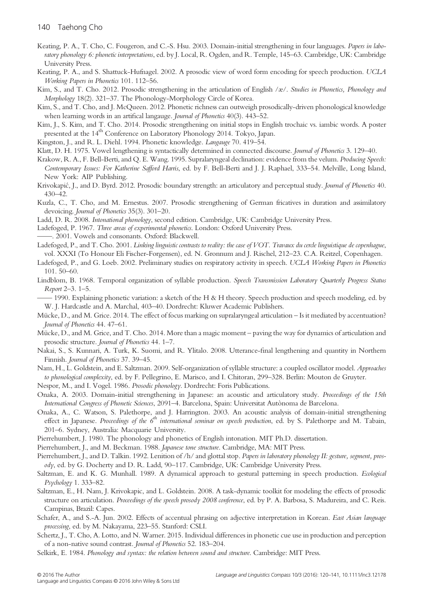- Keating, P. A., T. Cho, C. Fougeron, and C.-S. Hsu. 2003. Domain-initial strengthening in four languages. Papers in laboratory phonology 6: phonetic interpretations, ed. by J. Local, R. Ogden, and R. Temple, 145–63. Cambridge, UK: Cambridge University Press.
- Keating, P. A., and S. Shattuck-Hufnagel. 2002. A prosodic view of word form encoding for speech production. UCLA Working Papers in Phonetics 101. 112–56.
- Kim, S., and T. Cho. 2012. Prosodic strengthening in the articulation of English /æ/. Studies in Phonetics, Phonology and Morphology 18(2). 321–37. The Phonology-Morphology Circle of Korea.
- Kim, S., and T. Cho, and J. McQueen. 2012. Phonetic richness can outweigh prosodically-driven phonological knowledge when learning words in an artifical langauge. Journal of Phonetics 40(3). 443–52.

Kim, J., S. Kim, and T. Cho. 2014. Prosodic strengthening on initial stops in English trochaic vs. iambic words. A poster presented at the 14<sup>th</sup> Conference on Laboratory Phonology 2014. Tokyo, Japan.

Kingston, J., and R. L. Diehl. 1994. Phonetic knowledge. Langauge 70. 419–54.

Klatt, D. H. 1975. Vowel lengthening is syntactically determined in connected discourse. Journal of Phonetics 3. 129–40.

- Krakow, R. A., F. Bell-Berti, and Q. E. Wang. 1995. Supralaryngeal declination: evidence from the velum. Producing Speech: Contemporary Issues: For Katherine Safford Harris, ed. by F. Bell-Berti and J. J. Raphael, 333–54. Melville, Long Island, New York: AIP Publishing.
- Krivokapić, J., and D. Byrd. 2012. Prosodic boundary strength: an articulatory and perceptual study. Journal of Phonetics 40. 430–42.
- Kuzla, C., T. Cho, and M. Ernestus. 2007. Prosodic strengthening of German fricatives in duration and assimilatory devoicing. Journal of Phonetics 35(3). 301–20.
- Ladd, D. R. 2008. Intonational phonology, second edition. Cambridge, UK: Cambridge University Press.

Ladefoged, P. 1967. Three areas of experimental phonetics. London: Oxford University Press.

-. 2001. Vowels and consonants. Oxford: Blackwell.

Ladefoged, P., and T. Cho. 2001. Linking linguistic contrasts to reality: the case of VOT. Travaux du cercle linguistique de copenhague, vol. XXXI (To Honour Eli Fischer-Forgensen), ed. N. Gronnum and J. Rischel, 212–23. C.A. Reitzel, Copenhagen.

- Ladefoged, P., and G. Loeb. 2002. Preliminary studies on respiratory activity in speech. UCLA Working Papers in Phonetics 101. 50–60.
- Lindblom, B. 1968. Temporal organization of syllable production. Speech Transmission Laboratory Quarterly Progress Status Report 2–3. 1–5.

—— 1990. Explaining phonetic variation: a sketch of the H & H theory. Speech production and speech modeling, ed. by W. J. Hardcastle and A. Marchal, 403–40. Dordrecht: Kluwer Academic Publishers.

- Mücke, D., and M. Grice. 2014. The effect of focus marking on supralaryngeal articulation Is it mediated by accentuation? Journal of Phonetics 44. 47–61.
- Mücke, D., and M. Grice, and T. Cho. 2014. More than a magic moment paving the way for dynamics of articulation and prosodic structure. Journal of Phonetics 44. 1–7.
- Nakai, S., S. Kunnari, A. Turk, K. Suomi, and R. Ylitalo. 2008. Utterance-final lengthening and quantity in Northern Finnish. Journal of Phonetics 37. 39–45.
- Nam, H., L. Goldstein, and E. Saltzman. 2009. Self-organization of syllable structure: a coupled oscillator model. Approaches to phonological complexity, ed. by F. Pellegrino, E. Marisco, and I. Chitoran, 299–328. Berlin: Mouton de Gruyter.
- Nespor, M., and I. Vogel. 1986. Prosodic phonology. Dordrecht: Foris Publications.

Onaka, A. 2003. Domain-initial strengthening in Japanese: an acoustic and articulatory study. Proceedings of the 15th International Congress of Phonetic Sciences, 2091–4. Barcelona, Spain: Universitat Autònoma de Barcelona.

Onaka, A., C. Watson, S. Palethorpe, and J. Harrington. 2003. An acoustic analysis of domain-initial strengthening effect in Japanese. Proceedings of the 6<sup>th</sup> international seminar on speech production, ed. by S. Palethorpe and M. Tabain, 201–6. Sydney, Australia: Macquarie University.

Pierrehumbert, J. 1980. The phonology and phonetics of English intonation. MIT Ph.D. dissertation.

- Pierrehumbert, J., and M. Beckman. 1988. Japanese tone structure. Cambridge, MA: MIT Press.
- Pierrehumbert, J., and D. Talkin. 1992. Lenition of /h/ and glottal stop. Papers in laboratory phonology II: gesture, segment, prosody, ed. by G. Docherty and D. R. Ladd, 90–117. Cambridge, UK: Cambridge University Press.
- Saltzman, E. and K. G. Munhall. 1989. A dynamical approach to gestural patterning in speech production. Ecological Psychology 1. 333–82.
- Saltzman, E., H. Nam, J. Krivokapic, and L. Goldstein. 2008. A task-dynamic toolkit for modeling the effects of prosodic structure on articulation. Proceedings of the speech prosody 2008 conference, ed. by P. A. Barbosa, S. Madureira, and C. Reis. Campinas, Brazil: Capes.
- Schafer, A., and S.-A. Jun. 2002. Effects of accentual phrasing on adjective interpretation in Korean. East Asian language processing, ed. by M. Nakayama, 223–55. Stanford: CSLI.
- Schertz, J., T. Cho, A. Lotto, and N. Warner. 2015. Individual differences in phonetic cue use in production and perception of a non-native sound contrast. Journal of Phonetics 52. 183–204.
- Selkirk, E. 1984. Phonology and syntax: the relation between sound and structure. Cambridge: MIT Press.